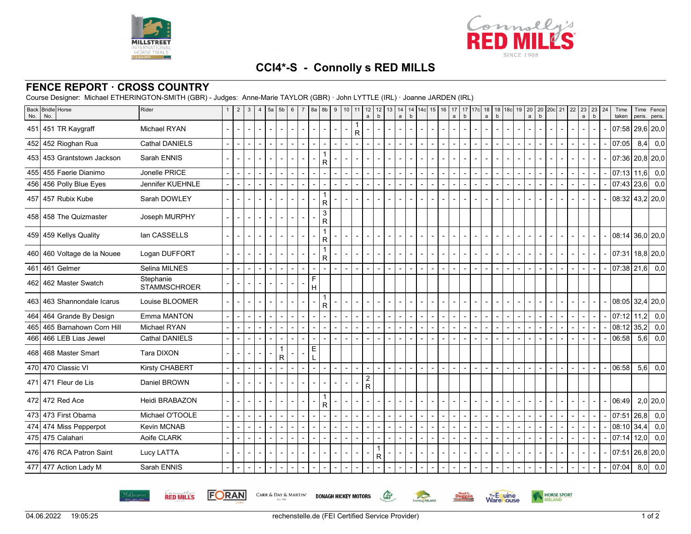



## **CCI4\*-S - Connolly s RED MILLS**

## **FENCE REPORT · CROSS COUNTRY**

Course Designer: Michael ETHERINGTON-SMITH (GBR) - Judges: Anne-Marie TAYLOR (GBR) · John LYTTLE (IRL) · Joanne JARDEN (IRL)

**FORAN** 

CARR & DAY & MARTIN'

**RED MILLS** 

| <b>Back</b><br>No. | <b>Bridle</b> Horse<br>No.  | Rider                            |        | 2                        | 3 | $\overline{\mathbf{A}}$ | 5a                       | 5 <sub>b</sub> | 6 | $\overline{7}$<br>8a | 8b                  | 9 | 10             | 11 | 12<br>$\mathsf{a}$           | 12<br>b | 13     | 14<br>a | $\mathsf b$ | 14 14c 15 16 | 17<br>a | b | 17 17c | 18<br>$\mathbf b$<br>a | 18 18c 19 | 20<br>$\mathsf{a}$       | $\mathbf b$ | 20 20c 21 | 22 | 23<br>$\mathsf{a}$ | 23<br>b | 24             | Time<br>taken | Time<br>pens. | Fence<br>pens.                |
|--------------------|-----------------------------|----------------------------------|--------|--------------------------|---|-------------------------|--------------------------|----------------|---|----------------------|---------------------|---|----------------|----|------------------------------|---------|--------|---------|-------------|--------------|---------|---|--------|------------------------|-----------|--------------------------|-------------|-----------|----|--------------------|---------|----------------|---------------|---------------|-------------------------------|
| 451                | 451 TR Kaygraff             | <b>Michael RYAN</b>              |        |                          |   |                         |                          |                |   |                      |                     |   |                | R. |                              |         |        |         |             |              |         |   |        |                        |           |                          |             |           |    |                    |         |                |               |               | $07:58$   29,6   20,0         |
|                    | 452 452 Rioghan Rua         | <b>Cathal DANIELS</b>            |        |                          |   |                         |                          |                |   |                      |                     |   |                |    | $\blacksquare$               |         | $\sim$ |         |             |              |         |   |        |                        |           |                          |             |           |    |                    |         |                | 07:05         | 8,4           | 0,0                           |
|                    | 453 453 Grantstown Jackson  | Sarah ENNIS                      |        |                          |   |                         |                          |                |   |                      | 1<br>R              |   |                |    |                              |         |        |         |             |              |         |   |        |                        |           |                          |             |           |    |                    |         |                |               |               | $07:36$   20,8   20,0         |
|                    | 455 455 Faerie Dianimo      | Jonelle PRICE                    |        | $\blacksquare$           |   |                         |                          |                |   |                      |                     |   |                |    |                              |         |        |         |             |              |         |   |        |                        |           |                          |             |           |    |                    |         |                | $07:13$ 11,6  |               | 0,0                           |
|                    | 456 456 Polly Blue Eyes     | Jennifer KUEHNLE                 |        |                          |   |                         |                          |                |   |                      |                     |   |                |    |                              |         |        |         |             |              |         |   |        |                        |           |                          |             |           |    | $\blacksquare$     | $\sim$  |                | 07:43 23,6    |               | 0,0                           |
|                    | 457 457 Rubix Kube          | Sarah DOWLEY                     |        |                          |   |                         |                          |                |   |                      | 1<br>R              |   |                |    |                              |         |        |         |             |              |         |   |        |                        |           |                          |             |           |    |                    |         |                |               |               | 08:32 43,2 20,0               |
|                    | 458 458 The Quizmaster      | Joseph MURPHY                    | $\sim$ | $\blacksquare$           |   | $\blacksquare$          | $\overline{\phantom{a}}$ |                |   |                      | $\overline{3}$<br>R |   |                |    |                              |         |        |         |             |              |         |   |        |                        |           |                          |             |           |    |                    |         |                |               |               |                               |
|                    | 459 459 Kellys Quality      | lan CASSELLS                     |        |                          |   |                         |                          |                |   |                      | 1<br>R              |   |                |    |                              |         |        |         |             |              |         |   |        |                        |           |                          |             |           |    |                    |         |                |               |               | $08:14$ 36,0 20,0             |
|                    | 460 460 Voltage de la Nouee | Logan DUFFORT                    |        |                          |   |                         |                          |                |   |                      | 1<br>R              |   |                |    |                              |         |        |         |             |              |         |   |        |                        |           |                          |             |           |    |                    |         |                |               |               | 07:31 18,8 20,0               |
| 461                | 461 Gelmer                  | Selina MILNES                    |        |                          |   |                         |                          |                |   |                      |                     |   | $\overline{a}$ |    |                              |         |        |         |             |              |         |   |        |                        |           | $\overline{\phantom{a}}$ |             | $\sim$    |    | $\blacksquare$     | $\sim$  |                |               |               | $\boxed{07:38 \mid 21,6}$ 0,0 |
| 462                | 462 Master Swatch           | Stephanie<br><b>STAMMSCHROER</b> |        | $\overline{\phantom{a}}$ |   |                         |                          |                |   | F<br>H               |                     |   |                |    |                              |         |        |         |             |              |         |   |        |                        |           |                          |             |           |    |                    |         |                |               |               |                               |
| 463                | 463 Shannondale Icarus      | Louise BLOOMER                   |        | $\blacksquare$           |   | $\blacksquare$          |                          |                |   |                      | 1<br>R              |   |                |    |                              |         |        |         |             |              |         |   |        |                        |           |                          |             |           |    |                    |         |                |               |               | $08:05$ 32,4 20,0             |
| 464                | 464 Grande By Design        | Emma MANTON                      |        |                          |   |                         |                          |                |   |                      |                     |   |                |    |                              |         |        |         |             |              |         |   |        |                        |           |                          |             |           |    |                    |         |                | 07:12         | l 11.2l       | 0,0                           |
| 465                | 465 Barnahown Corn Hill     | Michael RYAN                     |        |                          |   |                         |                          |                |   |                      |                     |   |                |    |                              |         |        |         |             |              |         |   |        |                        |           |                          |             |           |    |                    |         |                | 08:12         | 35,2          | 0,0                           |
| 466                | 466 LEB Lias Jewel          | <b>Cathal DANIELS</b>            |        |                          |   |                         |                          |                |   |                      |                     |   |                |    |                              |         |        |         |             |              |         |   |        |                        |           |                          |             |           |    |                    |         |                | 06:58         | 5,6           | 0,0                           |
|                    | 468 468 Master Smart        | Tara DIXON                       |        |                          |   |                         |                          | $\mathsf R$    |   | E.                   |                     |   |                |    |                              |         |        |         |             |              |         |   |        |                        |           |                          |             |           |    |                    |         |                |               |               |                               |
|                    | 470 470 Classic VI          | <b>Kirsty CHABERT</b>            |        |                          |   |                         |                          |                |   |                      |                     |   |                |    |                              |         |        |         |             |              |         |   |        |                        |           | $\overline{\phantom{0}}$ |             | $\sim$    |    | $\blacksquare$     | $\sim$  | $\blacksquare$ | 06:58         |               | $5,6$ 0,0                     |
|                    | 471 471 Fleur de Lis        | Daniel BROWN                     |        |                          |   |                         |                          |                |   |                      |                     |   |                |    | $\overline{\mathbf{c}}$<br>R |         |        |         |             |              |         |   |        |                        |           |                          |             |           |    |                    |         |                |               |               |                               |
|                    | 472 472 Red Ace             | Heidi BRABAZON                   |        | $\sim$                   |   | $\blacksquare$          | $\overline{\phantom{a}}$ |                |   |                      | 1<br>R              |   |                |    |                              |         |        |         |             |              |         |   |        |                        |           |                          |             |           |    |                    |         |                | 06:49         |               | $2,0$   20,0                  |
|                    | 473 473 First Obama         | Michael O'TOOLE                  |        |                          |   |                         |                          |                |   |                      |                     |   |                |    |                              |         |        |         |             |              |         |   |        |                        |           |                          |             |           |    |                    |         |                | 07:51         | 26,8          | 0,0                           |
|                    | 474 474 Miss Pepperpot      | <b>Kevin MCNAB</b>               |        |                          |   |                         |                          |                |   |                      |                     |   |                |    |                              |         |        |         |             |              |         |   |        |                        |           |                          |             |           |    |                    |         |                | 08:10         | 34,4          | 0,0                           |
|                    | 475   475 Calahari          | Aoife CLARK                      |        |                          |   |                         |                          |                |   |                      |                     |   |                |    |                              |         |        |         |             |              |         |   |        |                        |           |                          |             |           |    |                    |         |                | 07:14         | 12,0          | 0,0                           |
|                    | 476 476 RCA Patron Saint    | Lucy LATTA                       |        |                          |   |                         |                          |                |   |                      |                     |   |                |    |                              | 1<br>R. |        |         |             |              |         |   |        |                        |           |                          |             |           |    |                    |         |                | 07:51         |               | $26,8$ 20,0                   |
|                    | 477 Action Lady M           | Sarah ENNIS                      |        |                          |   |                         |                          |                |   |                      |                     |   |                |    |                              |         |        |         |             |              |         |   |        |                        |           |                          |             |           |    |                    |         |                | 07:04         |               | $8,0$ 0,0                     |

**DONAGH HICKEY MOTORS** 

 $\mathbb{G}$ 

Eventing **RELAND** 

HORSE SPORT

**Warehouse** 

**Duggan**